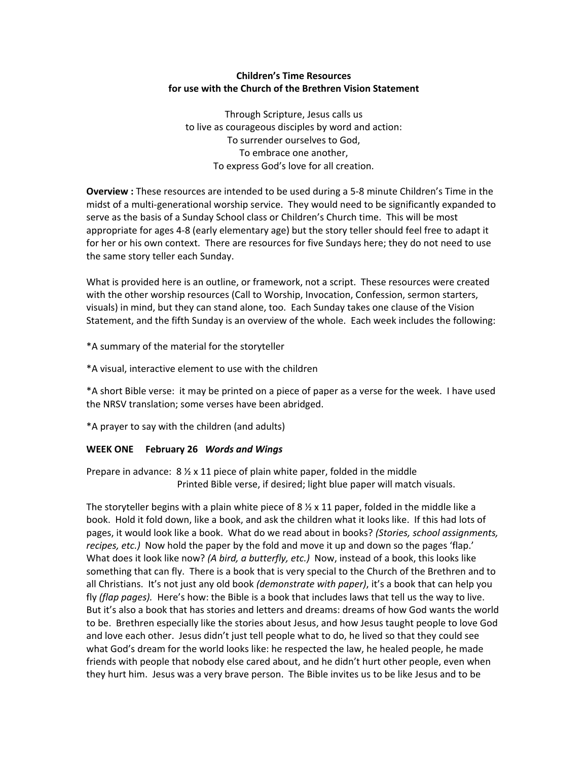# **Children's Time Resources for use with the Church of the Brethren Vision Statement**

Through Scripture, Jesus calls us to live as courageous disciples by word and action: To surrender ourselves to God, To embrace one another, To express God's love for all creation.

**Overview**: These resources are intended to be used during a 5-8 minute Children's Time in the midst of a multi‐generational worship service. They would need to be significantly expanded to serve as the basis of a Sunday School class or Children's Church time. This will be most appropriate for ages 4‐8 (early elementary age) but the story teller should feel free to adapt it for her or his own context. There are resources for five Sundays here; they do not need to use the same story teller each Sunday.

What is provided here is an outline, or framework, not a script. These resources were created with the other worship resources (Call to Worship, Invocation, Confession, sermon starters, visuals) in mind, but they can stand alone, too. Each Sunday takes one clause of the Vision Statement, and the fifth Sunday is an overview of the whole. Each week includes the following:

\*A summary of the material for the storyteller

\*A visual, interactive element to use with the children

\*A short Bible verse: it may be printed on a piece of paper as a verse for the week. I have used the NRSV translation; some verses have been abridged.

\*A prayer to say with the children (and adults)

#### **WEEK ONE February 26** *Words and Wings*

Prepare in advance:  $8\frac{1}{2}$  x 11 piece of plain white paper, folded in the middle Printed Bible verse, if desired; light blue paper will match visuals.

The storyteller begins with a plain white piece of 8  $\frac{1}{2}$  x 11 paper, folded in the middle like a book. Hold it fold down, like a book, and ask the children what it looks like. If this had lots of pages, it would look like a book. What do we read about in books? *(Stories, school assignments, recipes, etc.)* Now hold the paper by the fold and move it up and down so the pages 'flap.' What does it look like now? *(A bird, a butterfly, etc.)* Now, instead of a book, this looks like something that can fly. There is a book that is very special to the Church of the Brethren and to all Christians. It's not just any old book *(demonstrate with paper)*, it's a book that can help you fly *(flap pages).* Here's how: the Bible is a book that includes laws that tell us the way to live. But it's also a book that has stories and letters and dreams: dreams of how God wants the world to be. Brethren especially like the stories about Jesus, and how Jesus taught people to love God and love each other. Jesus didn't just tell people what to do, he lived so that they could see what God's dream for the world looks like: he respected the law, he healed people, he made friends with people that nobody else cared about, and he didn't hurt other people, even when they hurt him. Jesus was a very brave person. The Bible invites us to be like Jesus and to be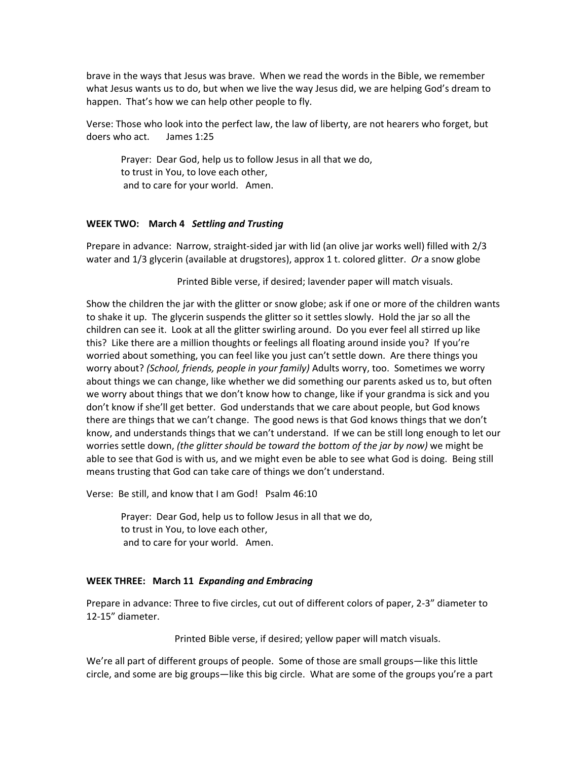brave in the ways that Jesus was brave. When we read the words in the Bible, we remember what Jesus wants us to do, but when we live the way Jesus did, we are helping God's dream to happen. That's how we can help other people to fly.

Verse: Those who look into the perfect law, the law of liberty, are not hearers who forget, but doers who act. James 1:25

Prayer: Dear God, help us to follow Jesus in all that we do, to trust in You, to love each other, and to care for your world. Amen.

### **WEEK TWO: March 4** *Settling and Trusting*

Prepare in advance: Narrow, straight‐sided jar with lid (an olive jar works well) filled with 2/3 water and 1/3 glycerin (available at drugstores), approx 1 t. colored glitter. *Or* a snow globe

Printed Bible verse, if desired; lavender paper will match visuals.

Show the children the jar with the glitter or snow globe; ask if one or more of the children wants to shake it up. The glycerin suspends the glitter so it settles slowly. Hold the jar so all the children can see it. Look at all the glitter swirling around. Do you ever feel all stirred up like this? Like there are a million thoughts or feelings all floating around inside you? If you're worried about something, you can feel like you just can't settle down. Are there things you worry about? *(School, friends, people in your family)* Adults worry, too. Sometimes we worry about things we can change, like whether we did something our parents asked us to, but often we worry about things that we don't know how to change, like if your grandma is sick and you don't know if she'll get better. God understands that we care about people, but God knows there are things that we can't change. The good news is that God knows things that we don't know, and understands things that we can't understand. If we can be still long enough to let our worries settle down, *(the glitter should be toward the bottom of the jar by now)* we might be able to see that God is with us, and we might even be able to see what God is doing. Being still means trusting that God can take care of things we don't understand.

Verse: Be still, and know that I am God! Psalm 46:10

Prayer: Dear God, help us to follow Jesus in all that we do, to trust in You, to love each other, and to care for your world. Amen.

#### **WEEK THREE: March 11** *Expanding and Embracing*

Prepare in advance: Three to five circles, cut out of different colors of paper, 2‐3" diameter to 12‐15" diameter.

Printed Bible verse, if desired; yellow paper will match visuals.

We're all part of different groups of people. Some of those are small groups—like this little circle, and some are big groups—like this big circle. What are some of the groups you're a part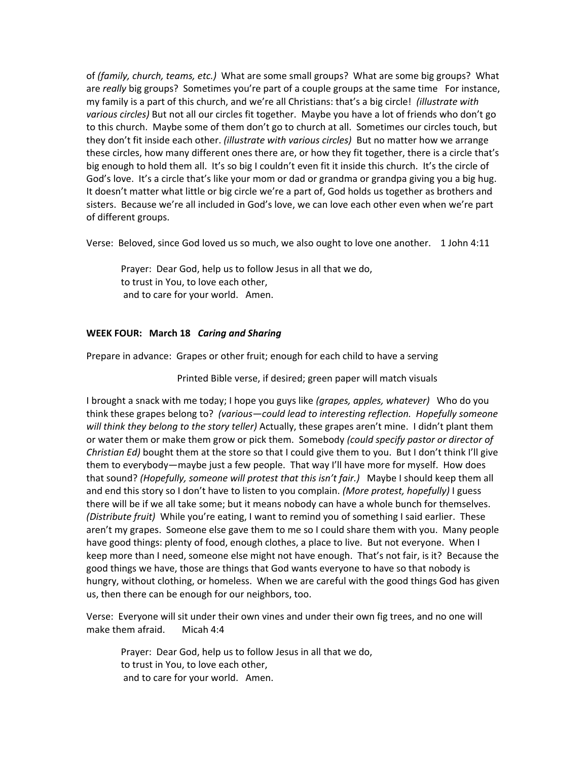of *(family, church, teams, etc.)* What are some small groups? What are some big groups? What are *really* big groups? Sometimes you're part of a couple groups at the same time For instance, my family is a part of this church, and we're all Christians: that's a big circle! *(illustrate with various circles)* But not all our circles fit together. Maybe you have a lot of friends who don't go to this church. Maybe some of them don't go to church at all. Sometimes our circles touch, but they don't fit inside each other. *(illustrate with various circles)* But no matter how we arrange these circles, how many different ones there are, or how they fit together, there is a circle that's big enough to hold them all. It's so big I couldn't even fit it inside this church. It's the circle of God's love. It's a circle that's like your mom or dad or grandma or grandpa giving you a big hug. It doesn't matter what little or big circle we're a part of, God holds us together as brothers and sisters. Because we're all included in God's love, we can love each other even when we're part of different groups.

Verse: Beloved, since God loved us so much, we also ought to love one another. 1 John 4:11

Prayer: Dear God, help us to follow Jesus in all that we do, to trust in You, to love each other, and to care for your world. Amen.

# **WEEK FOUR: March 18** *Caring and Sharing*

Prepare in advance: Grapes or other fruit; enough for each child to have a serving

Printed Bible verse, if desired; green paper will match visuals

I brought a snack with me today; I hope you guys like *(grapes, apples, whatever)* Who do you think these grapes belong to? *(various—could lead to interesting reflection. Hopefully someone will think they belong to the story teller)* Actually, these grapes aren't mine. I didn't plant them or water them or make them grow or pick them. Somebody *(could specify pastor or director of Christian Ed)* bought them at the store so that I could give them to you. But I don't think I'll give them to everybody—maybe just a few people.That way I'll have more for myself. How does that sound? *(Hopefully, someone will protest that this isn't fair.)* Maybe I should keep them all and end this story so I don't have to listen to you complain. *(More protest, hopefully)* I guess there will be if we all take some; but it means nobody can have a whole bunch for themselves. *(Distribute fruit)* While you're eating, I want to remind you of something I said earlier. These aren't my grapes. Someone else gave them to me so I could share them with you. Many people have good things: plenty of food, enough clothes, a place to live. But not everyone. When I keep more than I need, someone else might not have enough. That's not fair, is it? Because the good things we have, those are things that God wants everyone to have so that nobody is hungry, without clothing, or homeless. When we are careful with the good things God has given us, then there can be enough for our neighbors, too.

Verse: Everyone will sit under their own vines and under their own fig trees, and no one will make them afraid. Micah 4:4

Prayer: Dear God, help us to follow Jesus in all that we do, to trust in You, to love each other, and to care for your world. Amen.